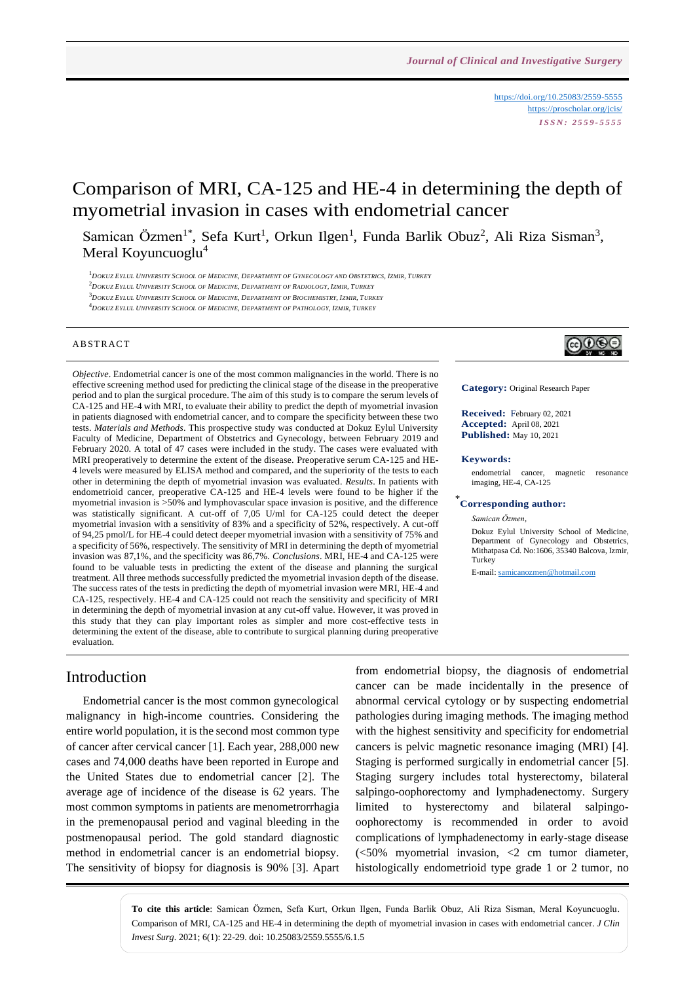<https://doi.org/10.25083/2559-5555> <https://proscholar.org/jcis/> *I S S N : 2 5 5 9 - 5 5 5 5*

# Comparison of MRI, CA-125 and HE-4 in determining the depth of myometrial invasion in cases with endometrial cancer

Samican Özmen<sup>1\*</sup>, Sefa Kurt<sup>1</sup>, Orkun Ilgen<sup>1</sup>, Funda Barlik Obuz<sup>2</sup>, Ali Riza Sisman<sup>3</sup>, Meral Koyuncuoglu<sup>4</sup>

<sup>1</sup>DOKUZ EYLUL UNIVERSITY SCHOOL OF MEDICINE. DEPARTMENT OF GYNECOLOGY AND OBSTETRICS. IZMIR. TURKEY  $^2$ DOKUZ EYLUL UNIVERSITY SCHOOL OF MEDICINE, DEPARTMENT OF RADIOLOGY, IZMIR, TURKEY

<sup>3</sup>DOKUZ EYLUL UNIVERSITY SCHOOL OF MEDICINE, DEPARTMENT OF BIOCHEMISTRY, IZMIR, TURKEY

<sup>4</sup> DOKUZ EYLUL UNIVERSITY SCHOOL OF MEDICINE DEPARTMENT OF PATHOLOGY JZMIR TURKEY

#### **ABSTRACT**

*Objective*. Endometrial cancer is one of the most common malignancies in the world. There is no effective screening method used for predicting the clinical stage of the disease in the preoperative period and to plan the surgical procedure. The aim of this study is to compare the serum levels of CA-125 and HE-4 with MRI, to evaluate their ability to predict the depth of myometrial invasion in patients diagnosed with endometrial cancer, and to compare the specificity between these two tests. *Materials and Methods*. This prospective study was conducted at Dokuz Eylul University Faculty of Medicine, Department of Obstetrics and Gynecology, between February 2019 and February 2020. A total of 47 cases were included in the study. The cases were evaluated with MRI preoperatively to determine the extent of the disease. Preoperative serum CA-125 and HE-4 levels were measured by ELISA method and compared, and the superiority of the tests to each other in determining the depth of myometrial invasion was evaluated. *Results*. In patients with endometrioid cancer, preoperative CA-125 and HE-4 levels were found to be higher if the myometrial invasion is >50% and lymphovascular space invasion is positive, and the difference was statistically significant. A cut-off of 7,05 U/ml for CA-125 could detect the deeper myometrial invasion with a sensitivity of 83% and a specificity of 52%, respectively. A cut-off of 94,25 pmol/L for HE-4 could detect deeper myometrial invasion with a sensitivity of 75% and a specificity of 56%, respectively. The sensitivity of MRI in determining the depth of myometrial invasion was 87,1%, and the specificity was 86,7%. *Conclusions*. MRI, HE-4 and CA-125 were found to be valuable tests in predicting the extent of the disease and planning the surgical treatment. All three methods successfully predicted the myometrial invasion depth of the disease. The success rates of the tests in predicting the depth of myometrial invasion were MRI, HE-4 and CA-125, respectively. HE-4 and CA-125 could not reach the sensitivity and specificity of MRI in determining the depth of myometrial invasion at any cut-off value. However, it was proved in this study that they can play important roles as simpler and more cost-effective tests in determining the extent of the disease, able to contribute to surgical planning during preoperative evaluation.

# ெ⊕

**Category:** Original Research Paper

**Received:** February 02, 2021 **Accepted:** April 08, 2021 **Published:** May 10, 2021

#### **Keywords:**

endometrial cancer, magnetic resonance imaging, HE-4, CA-125

### \* **Corresponding author:**

*Samican Özmen,*

Dokuz Eylul University School of Medicine, Department of Gynecology and Obstetrics, Mithatpasa Cd. No:1606, 35340 Balcova, Izmir, **Turkey** 

E-mail[: samicanozmen@hotmail.com](mailto:samicanozmen@hotmail.com)

### Introduction

Endometrial cancer is the most common gynecological malignancy in high-income countries. Considering the entire world population, it is the second most common type of cancer after cervical cancer [1]. Each year, 288,000 new cases and 74,000 deaths have been reported in Europe and the United States due to endometrial cancer [2]. The average age of incidence of the disease is 62 years. The most common symptoms in patients are menometrorrhagia in the premenopausal period and vaginal bleeding in the postmenopausal period. The gold standard diagnostic method in endometrial cancer is an endometrial biopsy. The sensitivity of biopsy for diagnosis is 90% [3]. Apart from endometrial biopsy, the diagnosis of endometrial cancer can be made incidentally in the presence of abnormal cervical cytology or by suspecting endometrial pathologies during imaging methods. The imaging method with the highest sensitivity and specificity for endometrial cancers is pelvic magnetic resonance imaging (MRI) [4]. Staging is performed surgically in endometrial cancer [5]. Staging surgery includes total hysterectomy, bilateral salpingo-oophorectomy and lymphadenectomy. Surgery limited to hysterectomy and bilateral salpingooophorectomy is recommended in order to avoid complications of lymphadenectomy in early-stage disease (<50% myometrial invasion, <2 cm tumor diameter, histologically endometrioid type grade 1 or 2 tumor, no

**To cite this article**: Samican Özmen, Sefa Kurt, Orkun Ilgen, Funda Barlik Obuz, Ali Riza Sisman, Meral Koyuncuoglu. Comparison of MRI, CA-125 and HE-4 in determining the depth of myometrial invasion in cases with endometrial cancer. *J Clin Invest Surg*. 2021; 6(1): 22-29. doi: 10.25083/2559.5555/6.1.5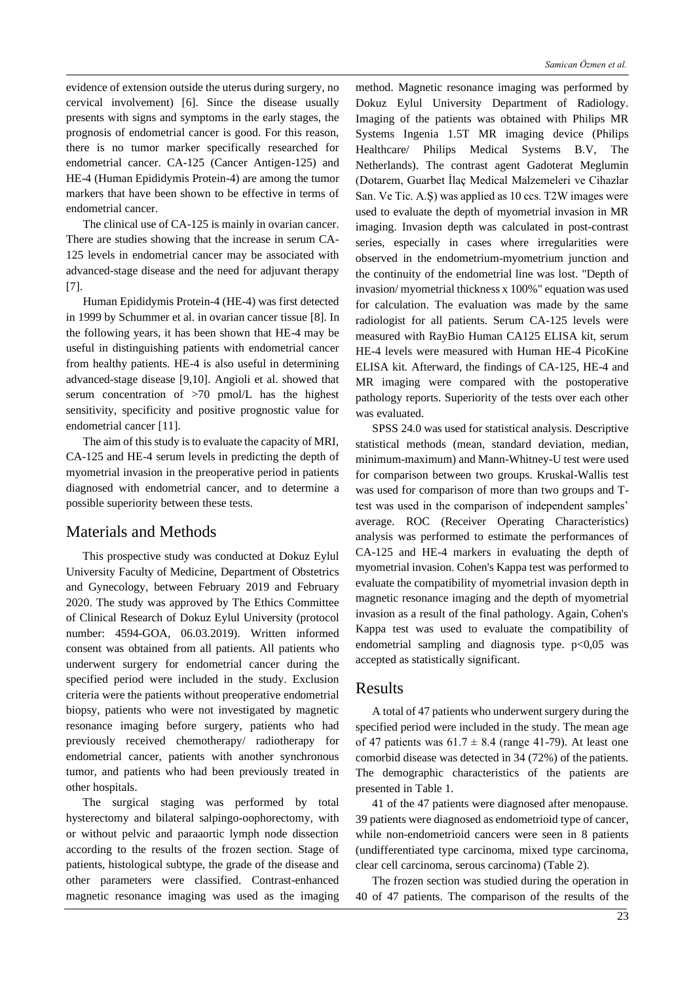evidence of extension outside the uterus during surgery, no cervical involvement) [6]. Since the disease usually presents with signs and symptoms in the early stages, the prognosis of endometrial cancer is good. For this reason, there is no tumor marker specifically researched for endometrial cancer. CA-125 (Cancer Antigen-125) and HE-4 (Human Epididymis Protein-4) are among the tumor markers that have been shown to be effective in terms of endometrial cancer.

The clinical use of CA-125 is mainly in ovarian cancer. There are studies showing that the increase in serum CA-125 levels in endometrial cancer may be associated with advanced-stage disease and the need for adjuvant therapy [7].

Human Epididymis Protein-4 (HE-4) was first detected in 1999 by Schummer et al. in ovarian cancer tissue [8]. In the following years, it has been shown that HE-4 may be useful in distinguishing patients with endometrial cancer from healthy patients. HE-4 is also useful in determining advanced-stage disease [9,10]. Angioli et al. showed that serum concentration of >70 pmol/L has the highest sensitivity, specificity and positive prognostic value for endometrial cancer [11].

The aim of this study is to evaluate the capacity of MRI, CA-125 and HE-4 serum levels in predicting the depth of myometrial invasion in the preoperative period in patients diagnosed with endometrial cancer, and to determine a possible superiority between these tests.

### Materials and Methods

This prospective study was conducted at Dokuz Eylul University Faculty of Medicine, Department of Obstetrics and Gynecology, between February 2019 and February 2020. The study was approved by The Ethics Committee of Clinical Research of Dokuz Eylul University (protocol number: 4594-GOA, 06.03.2019). Written informed consent was obtained from all patients. All patients who underwent surgery for endometrial cancer during the specified period were included in the study. Exclusion criteria were the patients without preoperative endometrial biopsy, patients who were not investigated by magnetic resonance imaging before surgery, patients who had previously received chemotherapy/ radiotherapy for endometrial cancer, patients with another synchronous tumor, and patients who had been previously treated in other hospitals.

The surgical staging was performed by total hysterectomy and bilateral salpingo-oophorectomy, with or without pelvic and paraaortic lymph node dissection according to the results of the frozen section. Stage of patients, histological subtype, the grade of the disease and other parameters were classified. Contrast-enhanced magnetic resonance imaging was used as the imaging

method. Magnetic resonance imaging was performed by Dokuz Eylul University Department of Radiology. Imaging of the patients was obtained with Philips MR Systems Ingenia 1.5T MR imaging device (Philips Healthcare/ Philips Medical Systems B.V, The Netherlands). The contrast agent Gadoterat Meglumin (Dotarem, Guarbet İlaç Medical Malzemeleri ve Cihazlar San. Ve Tic. A.Ş) was applied as 10 ccs. T2W images were used to evaluate the depth of myometrial invasion in MR imaging. Invasion depth was calculated in post-contrast series, especially in cases where irregularities were observed in the endometrium-myometrium junction and the continuity of the endometrial line was lost. "Depth of invasion/ myometrial thickness x 100%" equation was used for calculation. The evaluation was made by the same radiologist for all patients. Serum CA-125 levels were measured with RayBio Human CA125 ELISA kit, serum HE-4 levels were measured with Human HE-4 PicoKine ELISA kit. Afterward, the findings of CA-125, HE-4 and MR imaging were compared with the postoperative pathology reports. Superiority of the tests over each other was evaluated.

SPSS 24.0 was used for statistical analysis. Descriptive statistical methods (mean, standard deviation, median, minimum-maximum) and Mann-Whitney-U test were used for comparison between two groups. Kruskal-Wallis test was used for comparison of more than two groups and Ttest was used in the comparison of independent samples' average. ROC (Receiver Operating Characteristics) analysis was performed to estimate the performances of CA-125 and HE-4 markers in evaluating the depth of myometrial invasion. Cohen's Kappa test was performed to evaluate the compatibility of myometrial invasion depth in magnetic resonance imaging and the depth of myometrial invasion as a result of the final pathology. Again, Cohen's Kappa test was used to evaluate the compatibility of endometrial sampling and diagnosis type.  $p<0,05$  was accepted as statistically significant.

#### Results

A total of 47 patients who underwent surgery during the specified period were included in the study. The mean age of 47 patients was  $61.7 \pm 8.4$  (range 41-79). At least one comorbid disease was detected in 34 (72%) of the patients. The demographic characteristics of the patients are presented in Table 1.

41 of the 47 patients were diagnosed after menopause. 39 patients were diagnosed as endometrioid type of cancer, while non-endometrioid cancers were seen in 8 patients (undifferentiated type carcinoma, mixed type carcinoma, clear cell carcinoma, serous carcinoma) (Table 2).

The frozen section was studied during the operation in 40 of 47 patients. The comparison of the results of the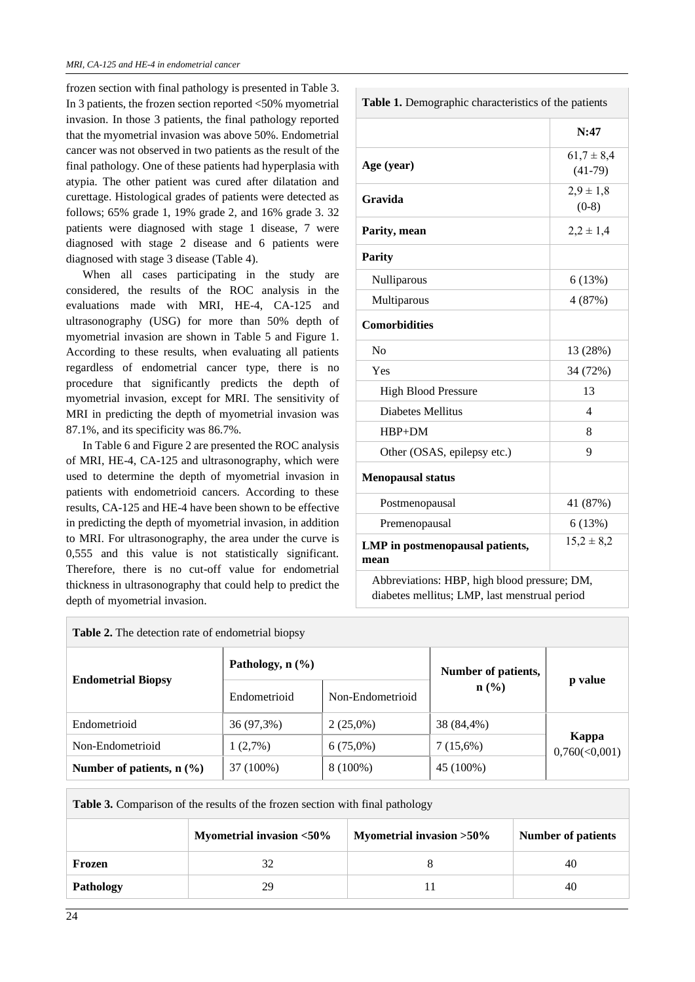frozen section with final pathology is presented in Table 3. In 3 patients, the frozen section reported <50% myometrial invasion. In those 3 patients, the final pathology reported that the myometrial invasion was above 50%. Endometrial cancer was not observed in two patients as the result of the final pathology. One of these patients had hyperplasia with atypia. The other patient was cured after dilatation and curettage. Histological grades of patients were detected as follows; 65% grade 1, 19% grade 2, and 16% grade 3. 32 patients were diagnosed with stage 1 disease, 7 were diagnosed with stage 2 disease and 6 patients were diagnosed with stage 3 disease (Table 4).

When all cases participating in the study are considered, the results of the ROC analysis in the evaluations made with MRI, HE-4, CA-125 and ultrasonography (USG) for more than 50% depth of myometrial invasion are shown in Table 5 and Figure 1. According to these results, when evaluating all patients regardless of endometrial cancer type, there is no procedure that significantly predicts the depth of myometrial invasion, except for MRI. The sensitivity of MRI in predicting the depth of myometrial invasion was 87.1%, and its specificity was 86.7%.

In Table 6 and Figure 2 are presented the ROC analysis of MRI, HE-4, CA-125 and ultrasonography, which were used to determine the depth of myometrial invasion in patients with endometrioid cancers. According to these results, CA-125 and HE-4 have been shown to be effective in predicting the depth of myometrial invasion, in addition to MRI. For ultrasonography, the area under the curve is 0,555 and this value is not statistically significant. Therefore, there is no cut-off value for endometrial thickness in ultrasonography that could help to predict the depth of myometrial invasion.

| Table 1. Demographic characteristics of the patients |                |  |  |
|------------------------------------------------------|----------------|--|--|
|                                                      | N:47           |  |  |
| Age (year)                                           | $61,7 \pm 8,4$ |  |  |
|                                                      | $(41-79)$      |  |  |
| Gravida                                              | $2,9 \pm 1,8$  |  |  |
|                                                      | $(0-8)$        |  |  |
| Parity, mean                                         | $2,2 \pm 1,4$  |  |  |
| <b>Parity</b>                                        |                |  |  |
| Nulliparous                                          | 6(13%)         |  |  |
| Multiparous                                          | 4 (87%)        |  |  |
| <b>Comorbidities</b>                                 |                |  |  |
| No                                                   | 13 (28%)       |  |  |
| Yes                                                  | 34 (72%)       |  |  |
| <b>High Blood Pressure</b>                           | 13             |  |  |
| <b>Diabetes Mellitus</b>                             | 4              |  |  |
| $HBP+DM$                                             | 8              |  |  |
| Other (OSAS, epilepsy etc.)                          | 9              |  |  |
| <b>Menopausal status</b>                             |                |  |  |
| Postmenopausal                                       | 41 (87%)       |  |  |
| Premenopausal                                        | 6(13%)         |  |  |
| LMP in postmenopausal patients,<br>mean              | $15,2 \pm 8,2$ |  |  |
| Abbreviations: HBP, high blood pressure; DM,         |                |  |  |
| diabetes mellitus; LMP, last menstrual period        |                |  |  |

| <b>Table 2.</b> The detection rate of endometrial biopsy |                                |                  |                             |                            |  |
|----------------------------------------------------------|--------------------------------|------------------|-----------------------------|----------------------------|--|
| <b>Endometrial Biopsy</b>                                | Pathology, $n$ $(\frac{9}{6})$ |                  | Number of patients,         | p value                    |  |
|                                                          | Endometrioid                   | Non-Endometrioid | $n\left(\frac{0}{0}\right)$ |                            |  |
| Endometrioid                                             | 36 (97,3%)                     | $2(25,0\%)$      | 38 (84,4%)                  |                            |  |
| Non-Endometrioid                                         | 1(2,7%)                        | $6(75,0\%)$      | 7(15,6%)                    | Kappa<br>$0,760 \le 0,001$ |  |
| Number of patients, $n$ (%)                              | 37 (100%)                      | $8(100\%)$       | 45 (100%)                   |                            |  |

Table 3. Comparison of the results of the frozen section with final pathology

|           | Myometrial invasion <50% | Myometrial invasion $>50\%$ | <b>Number of patients</b> |
|-----------|--------------------------|-----------------------------|---------------------------|
| Frozen    |                          |                             | 40                        |
| Pathology | 29                       |                             | 40                        |

Г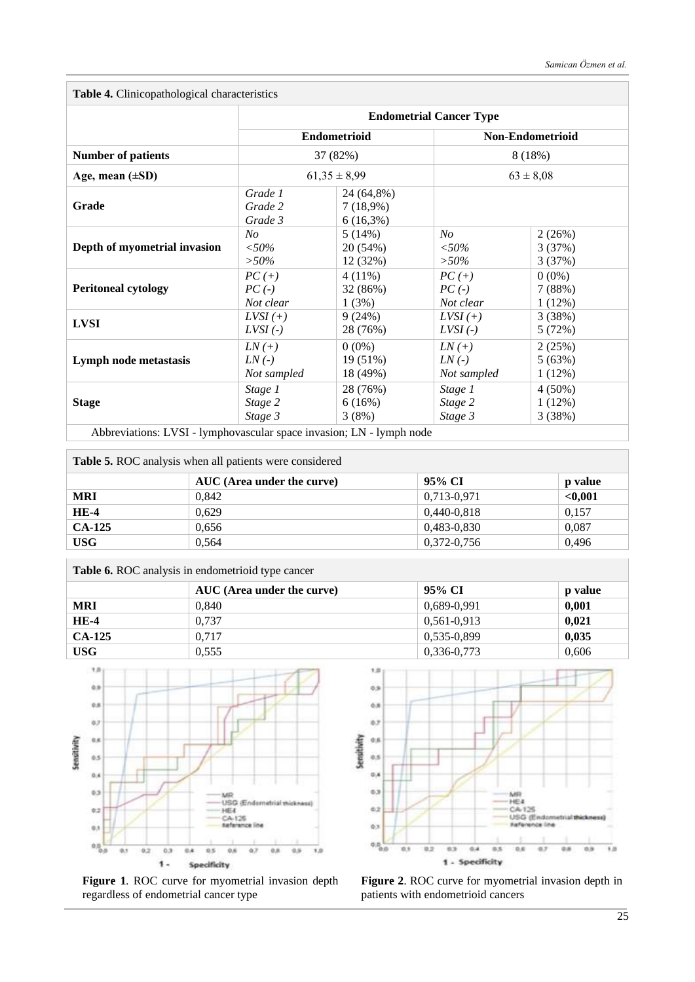**Table 4.** Clinicopathological characteristics

|                              | <b>Endometrial Cancer Type</b>                      |                                       |                         |           |  |
|------------------------------|-----------------------------------------------------|---------------------------------------|-------------------------|-----------|--|
|                              | <b>Endometrioid</b><br>37 (82%)<br>$61,35 \pm 8,99$ |                                       | <b>Non-Endometrioid</b> |           |  |
| <b>Number of patients</b>    |                                                     |                                       | 8(18%)<br>$63 \pm 8,08$ |           |  |
| Age, mean $(\pm SD)$         |                                                     |                                       |                         |           |  |
| Grade                        | Grade 1<br>Grade 2<br>Grade 3                       | 24 (64,8%)<br>7(18,9%)<br>$6(16,3\%)$ |                         |           |  |
| Depth of myometrial invasion | N <sub>O</sub>                                      | 5(14%)                                | N <sub>O</sub>          | 2(26%)    |  |
|                              | $<,50\%$                                            | 20 (54%)                              | $< \!\!50\%$            | 3(37%)    |  |
|                              | $> 50\%$                                            | 12 (32%)                              | $> 50\%$                | 3(37%)    |  |
| <b>Peritoneal cytology</b>   | $PC (+)$                                            | $4(11\%)$                             | $PC(+)$                 | $0(0\%)$  |  |
|                              | $PC(-)$                                             | 32 (86%)                              | $PC(-)$                 | 7(88%)    |  |
|                              | Not clear                                           | 1(3%)                                 | Not clear               | $1(12\%)$ |  |
| <b>LVSI</b>                  | $LVSI$ (+)                                          | 9(24%)                                | $LVSI$ (+)              | 3(38%)    |  |
|                              | $LVSI$ (-)                                          | 28 (76%)                              | $LVSI$ (-)              | 5(72%)    |  |
| Lymph node metastasis        | $LN(+)$                                             | $0(0\%)$                              | $LN(+)$                 | 2(25%)    |  |
|                              | $LN(-)$                                             | 19(51%)                               | $LN(-)$                 | 5(63%)    |  |
|                              | Not sampled                                         | 18 (49%)                              | Not sampled             | $1(12\%)$ |  |
| <b>Stage</b>                 | Stage 1                                             | 28 (76%)                              | Stage 1                 | $4(50\%)$ |  |
|                              | Stage 2                                             | 6(16%)                                | Stage 2                 | 1(12%)    |  |
|                              | Stage 3                                             | 3(8%)                                 | Stage 3                 | 3(38%)    |  |

Abbreviations: LVSI - lymphovascular space invasion; LN - lymph node

| <b>Table 5.</b> ROC analysis when all patients were considered |                            |               |                |  |  |  |
|----------------------------------------------------------------|----------------------------|---------------|----------------|--|--|--|
|                                                                | AUC (Area under the curve) | 95% CI        | <b>p</b> value |  |  |  |
| MRI                                                            | 0.842                      | 0.713-0.971   | < 0.001        |  |  |  |
| HE-4                                                           | 0.629                      | $0,440-0,818$ | 0.157          |  |  |  |

| $HE-4$     | 0.629                                             | 0.440-0.818 | 0.157 |
|------------|---------------------------------------------------|-------------|-------|
| $CA-125$   | 0.656                                             | 0.483-0.830 | 0.087 |
| <b>USG</b> | 0.564                                             | 0.372-0.756 | 0.496 |
|            | Table 6. ROC analysis in endometrioid type cancer |             |       |

|            | AUC (Area under the curve) | 95% CI          | <b>p</b> value |  |
|------------|----------------------------|-----------------|----------------|--|
| <b>MRI</b> | 0.840                      | 0,689-0,991     | 0,001          |  |
| $HE-4$     | 0.737                      | $0.561 - 0.913$ | 0,021          |  |
| $CA-125$   | 0.717                      | 0,535-0,899     | 0,035          |  |
| <b>USG</b> | 0.555                      | 0,336-0,773     | 0,606          |  |



**Figure 1**. ROC curve for myometrial invasion depth regardless of endometrial cancer type



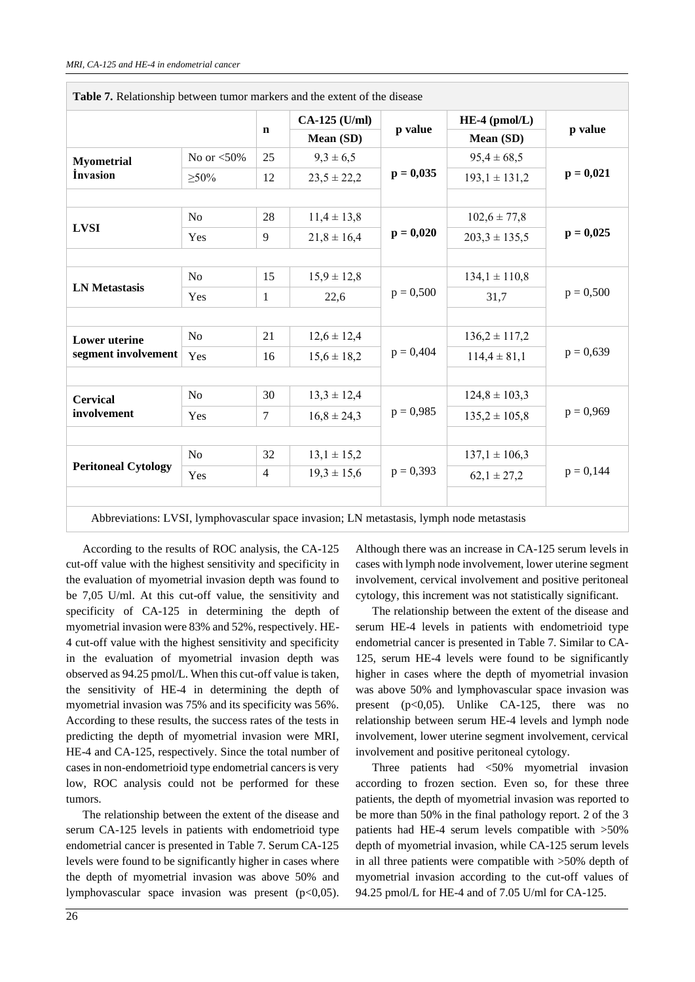|                            |                |                | CA-125 (U/ml)   | $HE-4$ (pmol/L) |                   |             |
|----------------------------|----------------|----------------|-----------------|-----------------|-------------------|-------------|
|                            |                | $\mathbf n$    | Mean (SD)       | p value         | Mean (SD)         | p value     |
| <b>Myometrial</b>          | No or $<$ 50%  | 25             | $9,3 \pm 6,5$   |                 | $95,4 \pm 68,5$   |             |
| <i>invasion</i>            | $>50\%$        | 12             | $23,5 \pm 22,2$ | $p = 0,035$     | $193,1 \pm 131,2$ | $p = 0,021$ |
|                            |                |                |                 |                 |                   |             |
| <b>LVSI</b>                | N <sub>o</sub> | 28             | $11,4 \pm 13,8$ |                 | $102,6 \pm 77,8$  | $p = 0,025$ |
|                            | Yes            | 9              | $21,8 \pm 16,4$ | $p = 0,020$     | $203,3 \pm 135,5$ |             |
|                            |                |                |                 |                 |                   |             |
| <b>LN</b> Metastasis       | N <sub>o</sub> | 15             | $15,9 \pm 12,8$ | $p = 0,500$     | $134,1 \pm 110,8$ | $p = 0,500$ |
|                            | Yes            | $\mathbf{1}$   | 22,6            |                 | 31,7              |             |
|                            |                |                |                 |                 |                   |             |
| <b>Lower</b> uterine       | No             | 21             | $12,6 \pm 12,4$ | $p = 0,404$     | $136,2 \pm 117,2$ | $p = 0,639$ |
| segment involvement        | Yes            | 16             | $15,6 \pm 18,2$ |                 | $114,4 \pm 81,1$  |             |
|                            |                |                |                 |                 |                   |             |
| <b>Cervical</b>            | No             | 30             | $13,3 \pm 12,4$ | $p = 0,985$     | $124.8 \pm 103.3$ | $p = 0,969$ |
| involvement                | Yes            | 7              | $16,8 \pm 24,3$ |                 | $135,2 \pm 105,8$ |             |
|                            |                |                |                 |                 |                   |             |
|                            | N <sub>o</sub> | 32             | $13,1 \pm 15,2$ | $p = 0,393$     | $137,1 \pm 106,3$ | $p = 0,144$ |
| <b>Peritoneal Cytology</b> | Yes            | $\overline{4}$ | $19,3 \pm 15,6$ |                 | $62,1 \pm 27,2$   |             |

**Table 7.** Relationship between tumor markers and the extent of the disease

Abbreviations: LVSI, lymphovascular space invasion; LN metastasis, lymph node metastasis

According to the results of ROC analysis, the CA-125 cut-off value with the highest sensitivity and specificity in the evaluation of myometrial invasion depth was found to be 7,05 U/ml. At this cut-off value, the sensitivity and specificity of CA-125 in determining the depth of myometrial invasion were 83% and 52%, respectively. HE-4 cut-off value with the highest sensitivity and specificity in the evaluation of myometrial invasion depth was observed as 94.25 pmol/L. When this cut-off value is taken, the sensitivity of HE-4 in determining the depth of myometrial invasion was 75% and its specificity was 56%. According to these results, the success rates of the tests in predicting the depth of myometrial invasion were MRI, HE-4 and CA-125, respectively. Since the total number of cases in non-endometrioid type endometrial cancers is very low, ROC analysis could not be performed for these tumors.

The relationship between the extent of the disease and serum CA-125 levels in patients with endometrioid type endometrial cancer is presented in Table 7. Serum CA-125 levels were found to be significantly higher in cases where the depth of myometrial invasion was above 50% and lymphovascular space invasion was present  $(p<0.05)$ .

Although there was an increase in CA-125 serum levels in cases with lymph node involvement, lower uterine segment involvement, cervical involvement and positive peritoneal cytology, this increment was not statistically significant.

The relationship between the extent of the disease and serum HE-4 levels in patients with endometrioid type endometrial cancer is presented in Table 7. Similar to CA-125, serum HE-4 levels were found to be significantly higher in cases where the depth of myometrial invasion was above 50% and lymphovascular space invasion was present  $(p<0.05)$ . Unlike CA-125, there was no relationship between serum HE-4 levels and lymph node involvement, lower uterine segment involvement, cervical involvement and positive peritoneal cytology.

Three patients had <50% myometrial invasion according to frozen section. Even so, for these three patients, the depth of myometrial invasion was reported to be more than 50% in the final pathology report. 2 of the 3 patients had HE-4 serum levels compatible with >50% depth of myometrial invasion, while CA-125 serum levels in all three patients were compatible with >50% depth of myometrial invasion according to the cut-off values of 94.25 pmol/L for HE-4 and of 7.05 U/ml for CA-125.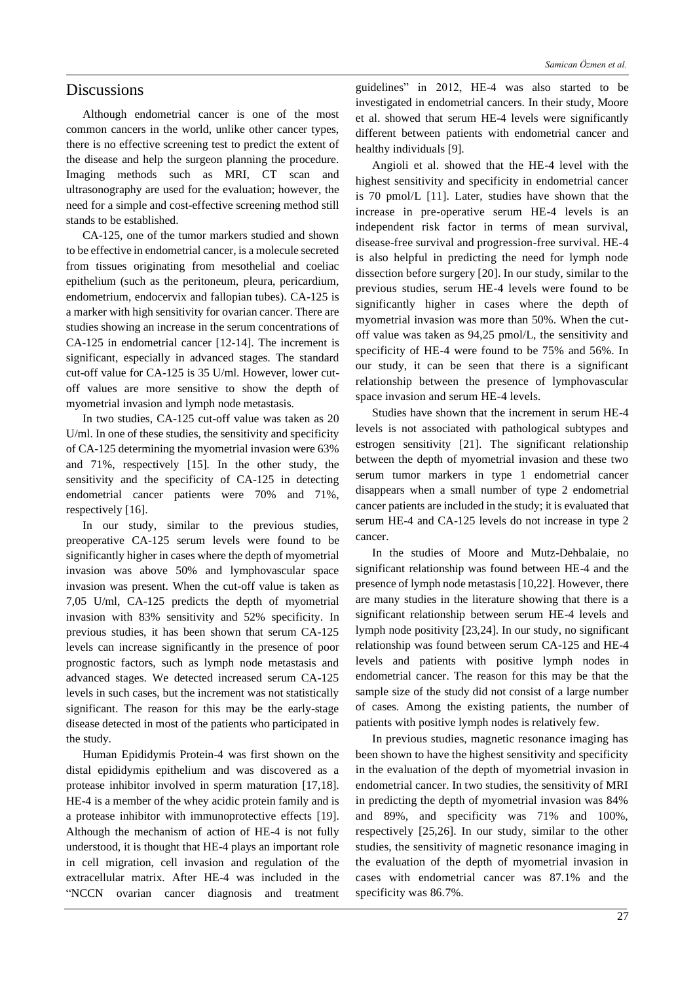### **Discussions**

Although endometrial cancer is one of the most common cancers in the world, unlike other cancer types, there is no effective screening test to predict the extent of the disease and help the surgeon planning the procedure. Imaging methods such as MRI, CT scan and ultrasonography are used for the evaluation; however, the need for a simple and cost-effective screening method still stands to be established.

CA-125, one of the tumor markers studied and shown to be effective in endometrial cancer, is a molecule secreted from tissues originating from mesothelial and coeliac epithelium (such as the peritoneum, pleura, pericardium, endometrium, endocervix and fallopian tubes). CA-125 is a marker with high sensitivity for ovarian cancer. There are studies showing an increase in the serum concentrations of CA-125 in endometrial cancer [12-14]. The increment is significant, especially in advanced stages. The standard cut-off value for CA-125 is 35 U/ml. However, lower cutoff values are more sensitive to show the depth of myometrial invasion and lymph node metastasis.

In two studies, CA-125 cut-off value was taken as 20 U/ml. In one of these studies, the sensitivity and specificity of CA-125 determining the myometrial invasion were 63% and 71%, respectively [15]. In the other study, the sensitivity and the specificity of CA-125 in detecting endometrial cancer patients were 70% and 71%, respectively [16].

In our study, similar to the previous studies, preoperative CA-125 serum levels were found to be significantly higher in cases where the depth of myometrial invasion was above 50% and lymphovascular space invasion was present. When the cut-off value is taken as 7,05 U/ml, CA-125 predicts the depth of myometrial invasion with 83% sensitivity and 52% specificity. In previous studies, it has been shown that serum CA-125 levels can increase significantly in the presence of poor prognostic factors, such as lymph node metastasis and advanced stages. We detected increased serum CA-125 levels in such cases, but the increment was not statistically significant. The reason for this may be the early-stage disease detected in most of the patients who participated in the study.

Human Epididymis Protein-4 was first shown on the distal epididymis epithelium and was discovered as a protease inhibitor involved in sperm maturation [17,18]. HE-4 is a member of the whey acidic protein family and is a protease inhibitor with immunoprotective effects [19]. Although the mechanism of action of HE-4 is not fully understood, it is thought that HE-4 plays an important role in cell migration, cell invasion and regulation of the extracellular matrix. After HE-4 was included in the "NCCN ovarian cancer diagnosis and treatment

guidelines" in 2012, HE-4 was also started to be investigated in endometrial cancers. In their study, Moore et al. showed that serum HE-4 levels were significantly different between patients with endometrial cancer and healthy individuals [9].

Angioli et al. showed that the HE-4 level with the highest sensitivity and specificity in endometrial cancer is 70 pmol/L [11]. Later, studies have shown that the increase in pre-operative serum HE-4 levels is an independent risk factor in terms of mean survival, disease-free survival and progression-free survival. HE-4 is also helpful in predicting the need for lymph node dissection before surgery [20]. In our study, similar to the previous studies, serum HE-4 levels were found to be significantly higher in cases where the depth of myometrial invasion was more than 50%. When the cutoff value was taken as 94,25 pmol/L, the sensitivity and specificity of HE-4 were found to be 75% and 56%. In our study, it can be seen that there is a significant relationship between the presence of lymphovascular space invasion and serum HE-4 levels.

Studies have shown that the increment in serum HE-4 levels is not associated with pathological subtypes and estrogen sensitivity [21]. The significant relationship between the depth of myometrial invasion and these two serum tumor markers in type 1 endometrial cancer disappears when a small number of type 2 endometrial cancer patients are included in the study; it is evaluated that serum HE-4 and CA-125 levels do not increase in type 2 cancer.

In the studies of Moore and Mutz-Dehbalaie, no significant relationship was found between HE-4 and the presence of lymph node metastasis [10,22]. However, there are many studies in the literature showing that there is a significant relationship between serum HE-4 levels and lymph node positivity [23,24]. In our study, no significant relationship was found between serum CA-125 and HE-4 levels and patients with positive lymph nodes in endometrial cancer. The reason for this may be that the sample size of the study did not consist of a large number of cases. Among the existing patients, the number of patients with positive lymph nodes is relatively few.

In previous studies, magnetic resonance imaging has been shown to have the highest sensitivity and specificity in the evaluation of the depth of myometrial invasion in endometrial cancer. In two studies, the sensitivity of MRI in predicting the depth of myometrial invasion was 84% and 89%, and specificity was 71% and 100%, respectively [25,26]. In our study, similar to the other studies, the sensitivity of magnetic resonance imaging in the evaluation of the depth of myometrial invasion in cases with endometrial cancer was 87.1% and the specificity was 86.7%.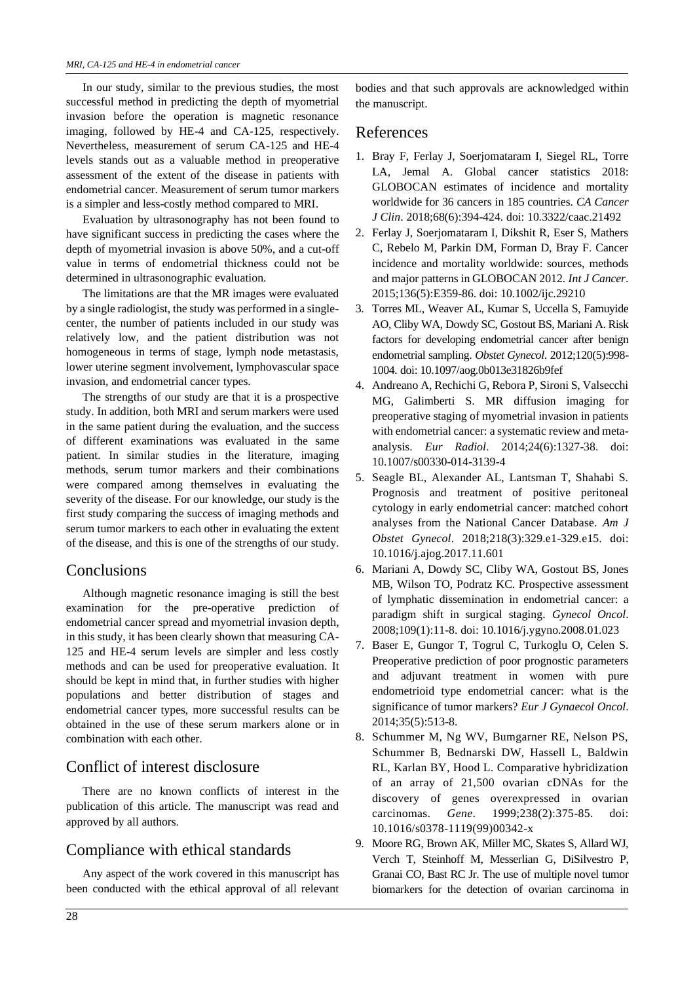In our study, similar to the previous studies, the most successful method in predicting the depth of myometrial invasion before the operation is magnetic resonance imaging, followed by HE-4 and CA-125, respectively. Nevertheless, measurement of serum CA-125 and HE-4 levels stands out as a valuable method in preoperative assessment of the extent of the disease in patients with endometrial cancer. Measurement of serum tumor markers is a simpler and less-costly method compared to MRI.

Evaluation by ultrasonography has not been found to have significant success in predicting the cases where the depth of myometrial invasion is above 50%, and a cut-off value in terms of endometrial thickness could not be determined in ultrasonographic evaluation.

The limitations are that the MR images were evaluated by a single radiologist, the study was performed in a singlecenter, the number of patients included in our study was relatively low, and the patient distribution was not homogeneous in terms of stage, lymph node metastasis, lower uterine segment involvement, lymphovascular space invasion, and endometrial cancer types.

The strengths of our study are that it is a prospective study. In addition, both MRI and serum markers were used in the same patient during the evaluation, and the success of different examinations was evaluated in the same patient. In similar studies in the literature, imaging methods, serum tumor markers and their combinations were compared among themselves in evaluating the severity of the disease. For our knowledge, our study is the first study comparing the success of imaging methods and serum tumor markers to each other in evaluating the extent of the disease, and this is one of the strengths of our study.

## **Conclusions**

Although magnetic resonance imaging is still the best examination for the pre-operative prediction of endometrial cancer spread and myometrial invasion depth, in this study, it has been clearly shown that measuring CA-125 and HE-4 serum levels are simpler and less costly methods and can be used for preoperative evaluation. It should be kept in mind that, in further studies with higher populations and better distribution of stages and endometrial cancer types, more successful results can be obtained in the use of these serum markers alone or in combination with each other.

# Conflict of interest disclosure

There are no known conflicts of interest in the publication of this article. The manuscript was read and approved by all authors.

## Compliance with ethical standards

Any aspect of the work covered in this manuscript has been conducted with the ethical approval of all relevant

bodies and that such approvals are acknowledged within the manuscript.

### References

- 1. Bray F, Ferlay J, Soerjomataram I, Siegel RL, Torre LA, Jemal A. Global cancer statistics 2018: GLOBOCAN estimates of incidence and mortality worldwide for 36 cancers in 185 countries. *CA Cancer J Clin*. 2018;68(6):394-424. doi: 10.3322/caac.21492
- 2. Ferlay J, Soerjomataram I, Dikshit R, Eser S, Mathers C, Rebelo M, Parkin DM, Forman D, Bray F. Cancer incidence and mortality worldwide: sources, methods and major patterns in GLOBOCAN 2012. *Int J Cancer*. 2015;136(5):E359-86. doi: 10.1002/ijc.29210
- 3. Torres ML, Weaver AL, Kumar S, Uccella S, Famuyide AO, Cliby WA, Dowdy SC, Gostout BS, Mariani A. Risk factors for developing endometrial cancer after benign endometrial sampling. *Obstet Gynecol*. 2012;120(5):998- 1004. doi: 10.1097/aog.0b013e31826b9fef
- 4. Andreano A, Rechichi G, Rebora P, Sironi S, Valsecchi MG, Galimberti S. MR diffusion imaging for preoperative staging of myometrial invasion in patients with endometrial cancer: a systematic review and metaanalysis. *Eur Radiol*. 2014;24(6):1327-38. doi: 10.1007/s00330-014-3139-4
- 5. Seagle BL, Alexander AL, Lantsman T, Shahabi S. Prognosis and treatment of positive peritoneal cytology in early endometrial cancer: matched cohort analyses from the National Cancer Database. *Am J Obstet Gynecol*. 2018;218(3):329.e1-329.e15. doi: 10.1016/j.ajog.2017.11.601
- 6. Mariani A, Dowdy SC, Cliby WA, Gostout BS, Jones MB, Wilson TO, Podratz KC. Prospective assessment of lymphatic dissemination in endometrial cancer: a paradigm shift in surgical staging. *Gynecol Oncol*. 2008;109(1):11-8. doi: 10.1016/j.ygyno.2008.01.023
- 7. Baser E, Gungor T, Togrul C, Turkoglu O, Celen S. Preoperative prediction of poor prognostic parameters and adjuvant treatment in women with pure endometrioid type endometrial cancer: what is the significance of tumor markers? *Eur J Gynaecol Oncol*. 2014;35(5):513-8.
- 8. Schummer M, Ng WV, Bumgarner RE, Nelson PS, Schummer B, Bednarski DW, Hassell L, Baldwin RL, Karlan BY, Hood L. Comparative hybridization of an array of 21,500 ovarian cDNAs for the discovery of genes overexpressed in ovarian carcinomas. *Gene*. 1999;238(2):375-85. doi: 10.1016/s0378-1119(99)00342-x
- 9. Moore RG, Brown AK, Miller MC, Skates S, Allard WJ, Verch T, Steinhoff M, Messerlian G, DiSilvestro P, Granai CO, Bast RC Jr. The use of multiple novel tumor biomarkers for the detection of ovarian carcinoma in